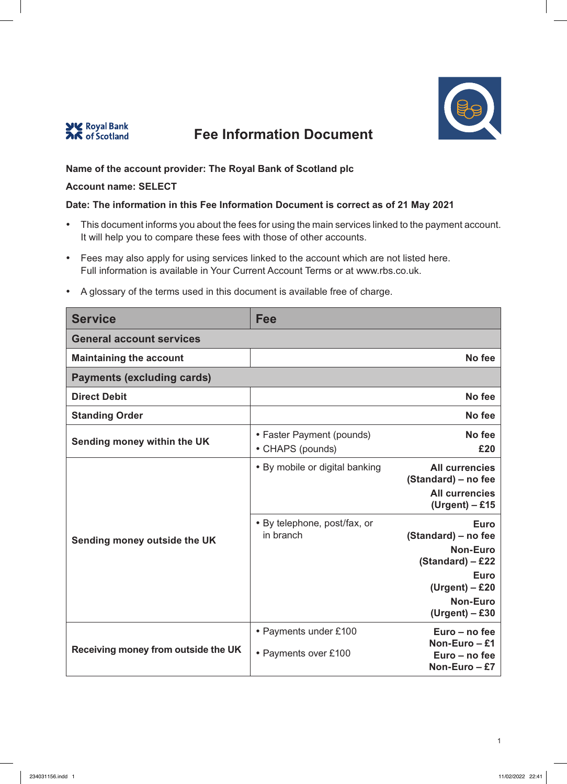



## **Name of the account provider: The Royal Bank of Scotland plc**

#### **Account name: SELECT**

### **Date: The information in this Fee Information Document is correct as of 21 May 2021**

- This document informs you about the fees for using the main services linked to the payment account. It will help you to compare these fees with those of other accounts.
- Fees may also apply for using services linked to the account which are not listed here. Full information is available in Your Current Account Terms or at www.rbs.co.uk.

| <b>Service</b>                      | Fee                                           |                                                                                                                                                     |
|-------------------------------------|-----------------------------------------------|-----------------------------------------------------------------------------------------------------------------------------------------------------|
| <b>General account services</b>     |                                               |                                                                                                                                                     |
| <b>Maintaining the account</b>      |                                               | No fee                                                                                                                                              |
| <b>Payments (excluding cards)</b>   |                                               |                                                                                                                                                     |
| <b>Direct Debit</b>                 |                                               | No fee                                                                                                                                              |
| <b>Standing Order</b>               |                                               | No fee                                                                                                                                              |
| Sending money within the UK         | • Faster Payment (pounds)<br>• CHAPS (pounds) | No fee<br>£20                                                                                                                                       |
|                                     | • By mobile or digital banking                | <b>All currencies</b><br>(Standard) – no fee<br><b>All currencies</b><br>$(Urgent) - £15$                                                           |
| Sending money outside the UK        | • By telephone, post/fax, or<br>in branch     | <b>Euro</b><br>(Standard) - no fee<br><b>Non-Euro</b><br>(Standard) - £22<br><b>Euro</b><br>$(Urgent) - £20$<br><b>Non-Euro</b><br>$(Urgent) - £30$ |
| Receiving money from outside the UK | • Payments under £100<br>• Payments over £100 | Euro – no fee<br>Non-Euro - £1<br>Euro - no fee<br>Non-Euro $- E7$                                                                                  |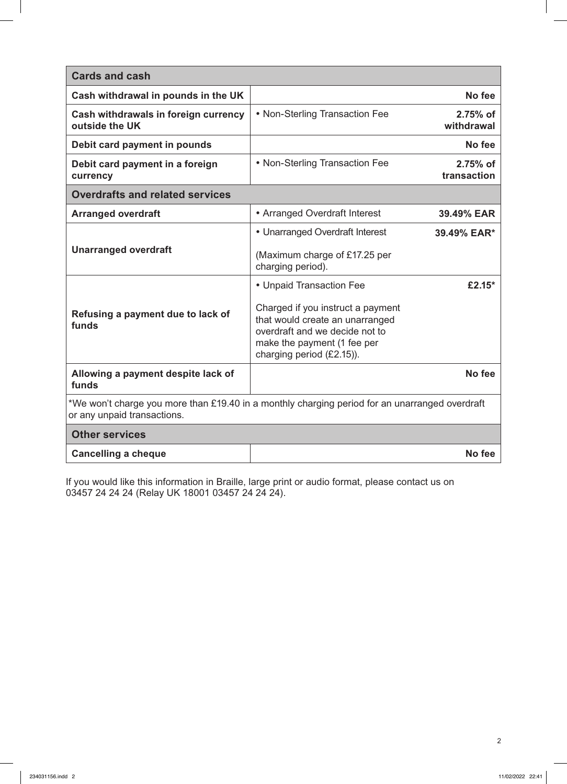| <b>Cards and cash</b>                                                                                                         |                                                                                                                                                                    |                         |
|-------------------------------------------------------------------------------------------------------------------------------|--------------------------------------------------------------------------------------------------------------------------------------------------------------------|-------------------------|
| Cash withdrawal in pounds in the UK                                                                                           |                                                                                                                                                                    | No fee                  |
| Cash withdrawals in foreign currency<br>outside the UK                                                                        | • Non-Sterling Transaction Fee                                                                                                                                     | 2.75% of<br>withdrawal  |
| Debit card payment in pounds                                                                                                  |                                                                                                                                                                    | No fee                  |
| Debit card payment in a foreign<br>currency                                                                                   | • Non-Sterling Transaction Fee                                                                                                                                     | 2.75% of<br>transaction |
| <b>Overdrafts and related services</b>                                                                                        |                                                                                                                                                                    |                         |
| <b>Arranged overdraft</b>                                                                                                     | • Arranged Overdraft Interest                                                                                                                                      | 39.49% EAR              |
|                                                                                                                               | • Unarranged Overdraft Interest                                                                                                                                    | 39.49% EAR*             |
| <b>Unarranged overdraft</b>                                                                                                   | (Maximum charge of £17.25 per<br>charging period).                                                                                                                 |                         |
|                                                                                                                               | • Unpaid Transaction Fee                                                                                                                                           | £2.15 $*$               |
| Refusing a payment due to lack of<br>funds                                                                                    | Charged if you instruct a payment<br>that would create an unarranged<br>overdraft and we decide not to<br>make the payment (1 fee per<br>charging period (£2.15)). |                         |
| Allowing a payment despite lack of<br>funds                                                                                   |                                                                                                                                                                    | No fee                  |
| *We won't charge you more than £19.40 in a monthly charging period for an unarranged overdraft<br>or any unpaid transactions. |                                                                                                                                                                    |                         |
| <b>Other services</b>                                                                                                         |                                                                                                                                                                    |                         |
| <b>Cancelling a cheque</b>                                                                                                    |                                                                                                                                                                    | No fee                  |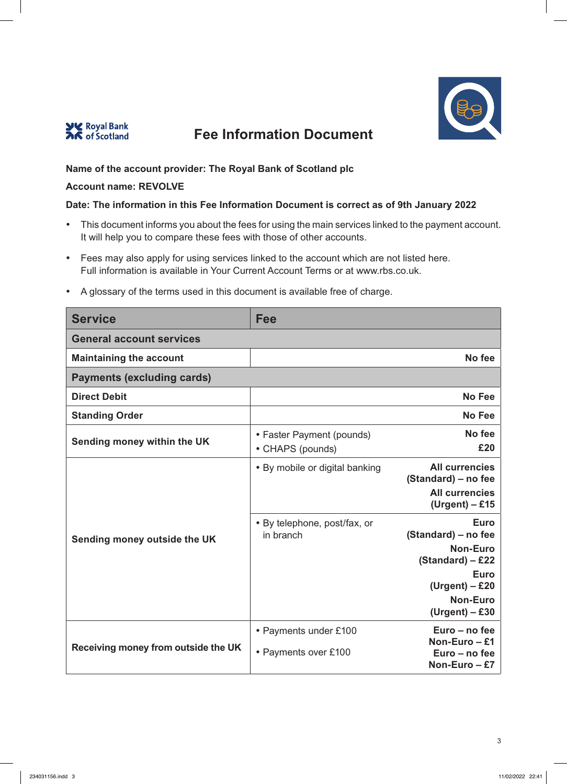



## **Name of the account provider: The Royal Bank of Scotland plc**

### **Account name: REVOLVE**

## **Date: The information in this Fee Information Document is correct as of 9th January 2022**

- This document informs you about the fees for using the main services linked to the payment account. It will help you to compare these fees with those of other accounts.
- Fees may also apply for using services linked to the account which are not listed here. Full information is available in Your Current Account Terms or at www.rbs.co.uk.

| <b>Service</b>                      | Fee                                           |                                                                                                                                                |
|-------------------------------------|-----------------------------------------------|------------------------------------------------------------------------------------------------------------------------------------------------|
| <b>General account services</b>     |                                               |                                                                                                                                                |
| <b>Maintaining the account</b>      |                                               | No fee                                                                                                                                         |
| <b>Payments (excluding cards)</b>   |                                               |                                                                                                                                                |
| <b>Direct Debit</b>                 |                                               | <b>No Fee</b>                                                                                                                                  |
| <b>Standing Order</b>               |                                               | <b>No Fee</b>                                                                                                                                  |
| Sending money within the UK         | • Faster Payment (pounds)<br>• CHAPS (pounds) | No fee<br>£20                                                                                                                                  |
|                                     | • By mobile or digital banking                | <b>All currencies</b><br>(Standard) – no fee<br><b>All currencies</b><br>$(Urgent) - £15$                                                      |
| Sending money outside the UK        | • By telephone, post/fax, or<br>in branch     | <b>Euro</b><br>(Standard) – no fee<br><b>Non-Euro</b><br>$(Standard) - £22$<br>Euro<br>$(Urgent) - £20$<br><b>Non-Euro</b><br>$(Urgent) - £30$ |
| Receiving money from outside the UK | • Payments under £100<br>• Payments over £100 | Euro – no fee<br>Non-Euro $-$ £1<br>Euro - no fee<br>Non-Euro - £7                                                                             |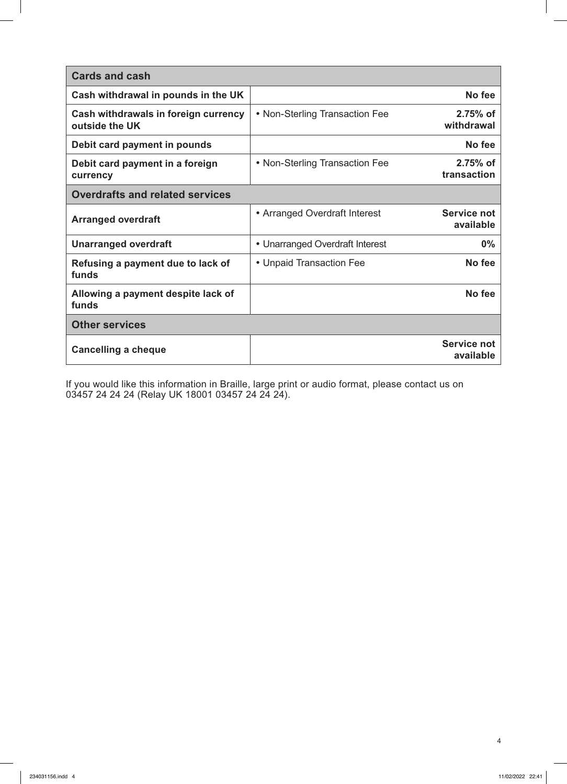| <b>Cards and cash</b>                                  |                                 |                                 |
|--------------------------------------------------------|---------------------------------|---------------------------------|
| Cash withdrawal in pounds in the UK                    |                                 | No fee                          |
| Cash withdrawals in foreign currency<br>outside the UK | • Non-Sterling Transaction Fee  | $2.75%$ of<br>withdrawal        |
| Debit card payment in pounds                           |                                 | No fee                          |
| Debit card payment in a foreign<br>currency            | • Non-Sterling Transaction Fee  | 2.75% of<br>transaction         |
| <b>Overdrafts and related services</b>                 |                                 |                                 |
| <b>Arranged overdraft</b>                              | • Arranged Overdraft Interest   | <b>Service not</b><br>available |
| <b>Unarranged overdraft</b>                            | • Unarranged Overdraft Interest | $0\%$                           |
| Refusing a payment due to lack of<br>funds             | • Unpaid Transaction Fee        | No fee                          |
| Allowing a payment despite lack of<br>funds            |                                 | No fee                          |
| <b>Other services</b>                                  |                                 |                                 |
| <b>Cancelling a cheque</b>                             |                                 | <b>Service not</b><br>available |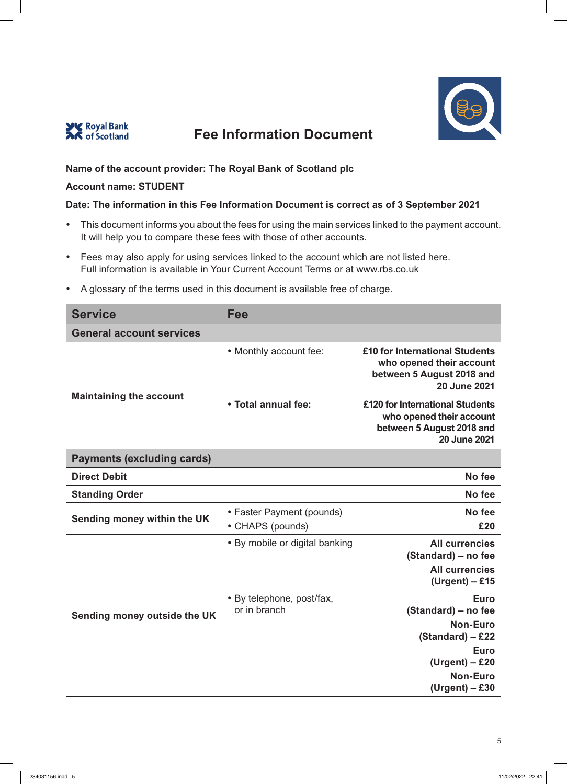



## **Name of the account provider: The Royal Bank of Scotland plc**

#### **Account name: STUDENT**

#### **Date: The information in this Fee Information Document is correct as of 3 September 2021**

- This document informs you about the fees for using the main services linked to the payment account. It will help you to compare these fees with those of other accounts.
- Fees may also apply for using services linked to the account which are not listed here. Full information is available in Your Current Account Terms or at www.rbs.co.uk
- A glossary of the terms used in this document is available free of charge.

| <b>Service</b>                    | Fee                                           |                                                                                                                                                       |
|-----------------------------------|-----------------------------------------------|-------------------------------------------------------------------------------------------------------------------------------------------------------|
| <b>General account services</b>   |                                               |                                                                                                                                                       |
|                                   | • Monthly account fee:                        | £10 for International Students<br>who opened their account<br>between 5 August 2018 and<br>20 June 2021                                               |
| <b>Maintaining the account</b>    | • Total annual fee:                           | £120 for International Students<br>who opened their account<br>between 5 August 2018 and<br><b>20 June 2021</b>                                       |
| <b>Payments (excluding cards)</b> |                                               |                                                                                                                                                       |
| <b>Direct Debit</b>               |                                               | No fee                                                                                                                                                |
| <b>Standing Order</b>             |                                               | No fee                                                                                                                                                |
| Sending money within the UK       | • Faster Payment (pounds)<br>• CHAPS (pounds) | No fee<br>£20                                                                                                                                         |
|                                   | • By mobile or digital banking                | <b>All currencies</b><br>(Standard) - no fee<br><b>All currencies</b><br>$(Urgent) - £15$                                                             |
| Sending money outside the UK      | • By telephone, post/fax,<br>or in branch     | <b>Euro</b><br>(Standard) - no fee<br><b>Non-Euro</b><br>$(Standard) - £22$<br><b>Euro</b><br>$(Urgent) - £20$<br><b>Non-Euro</b><br>$(Urgent) - £30$ |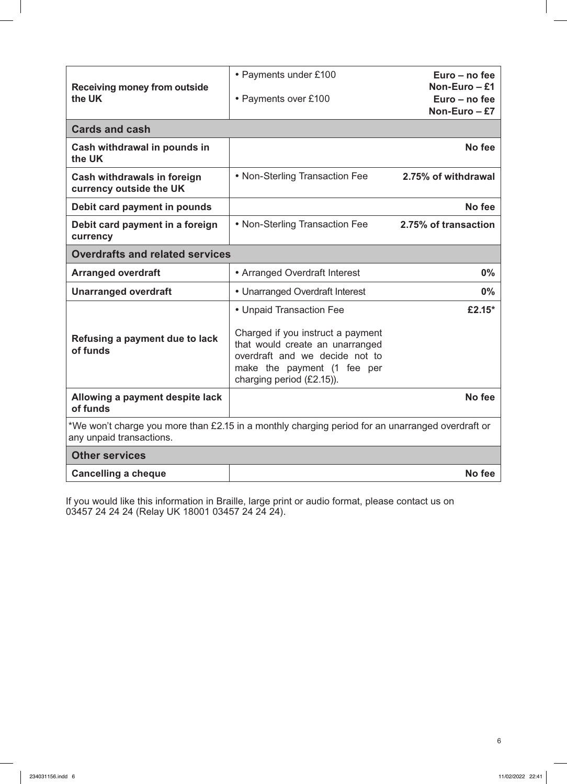| <b>Receiving money from outside</b><br>the UK                                                                                | • Payments under £100                                                                                                                                                                          | Euro – no fee<br>Non-Euro $-$ £1 |
|------------------------------------------------------------------------------------------------------------------------------|------------------------------------------------------------------------------------------------------------------------------------------------------------------------------------------------|----------------------------------|
|                                                                                                                              | • Payments over £100                                                                                                                                                                           | Euro - no fee<br>Non-Euro $-E$ 7 |
| <b>Cards and cash</b>                                                                                                        |                                                                                                                                                                                                |                                  |
| Cash withdrawal in pounds in<br>the UK                                                                                       |                                                                                                                                                                                                | No fee                           |
| Cash withdrawals in foreign<br>currency outside the UK                                                                       | • Non-Sterling Transaction Fee                                                                                                                                                                 | 2.75% of withdrawal              |
| Debit card payment in pounds                                                                                                 |                                                                                                                                                                                                | No fee                           |
| Debit card payment in a foreign<br>currency                                                                                  | • Non-Sterling Transaction Fee                                                                                                                                                                 | 2.75% of transaction             |
| <b>Overdrafts and related services</b>                                                                                       |                                                                                                                                                                                                |                                  |
| <b>Arranged overdraft</b>                                                                                                    | • Arranged Overdraft Interest                                                                                                                                                                  | 0%                               |
| <b>Unarranged overdraft</b>                                                                                                  | • Unarranged Overdraft Interest                                                                                                                                                                | $0\%$                            |
| Refusing a payment due to lack<br>of funds                                                                                   | • Unpaid Transaction Fee<br>Charged if you instruct a payment<br>that would create an unarranged<br>overdraft and we decide not to<br>make the payment (1 fee per<br>charging period (£2.15)). | £2.15*                           |
| Allowing a payment despite lack<br>of funds                                                                                  |                                                                                                                                                                                                | No fee                           |
| *We won't charge you more than £2.15 in a monthly charging period for an unarranged overdraft or<br>any unpaid transactions. |                                                                                                                                                                                                |                                  |
| <b>Other services</b>                                                                                                        |                                                                                                                                                                                                |                                  |
| <b>Cancelling a cheque</b>                                                                                                   |                                                                                                                                                                                                | No fee                           |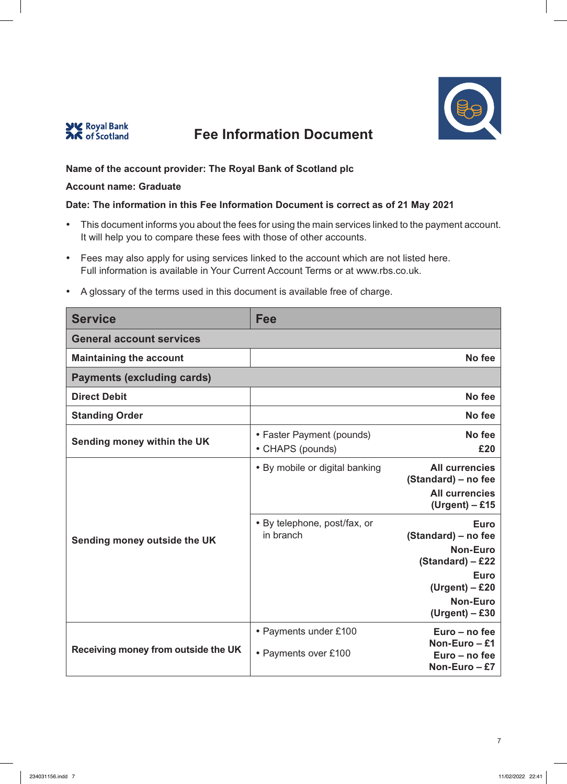



## **Name of the account provider: The Royal Bank of Scotland plc**

### **Account name: Graduate**

### **Date: The information in this Fee Information Document is correct as of 21 May 2021**

- This document informs you about the fees for using the main services linked to the payment account. It will help you to compare these fees with those of other accounts.
- Fees may also apply for using services linked to the account which are not listed here. Full information is available in Your Current Account Terms or at www.rbs.co.uk.

| <b>Service</b>                      | Fee                                           |                                                                                                                                                       |
|-------------------------------------|-----------------------------------------------|-------------------------------------------------------------------------------------------------------------------------------------------------------|
| <b>General account services</b>     |                                               |                                                                                                                                                       |
| <b>Maintaining the account</b>      |                                               | No fee                                                                                                                                                |
| <b>Payments (excluding cards)</b>   |                                               |                                                                                                                                                       |
| <b>Direct Debit</b>                 |                                               | No fee                                                                                                                                                |
| <b>Standing Order</b>               |                                               | No fee                                                                                                                                                |
| Sending money within the UK         | • Faster Payment (pounds)<br>• CHAPS (pounds) | No fee<br>£20                                                                                                                                         |
|                                     | • By mobile or digital banking                | <b>All currencies</b><br>(Standard) – no fee<br><b>All currencies</b><br>$(Urgent) - £15$                                                             |
| Sending money outside the UK        | • By telephone, post/fax, or<br>in branch     | <b>Euro</b><br>(Standard) – no fee<br><b>Non-Euro</b><br>$(Standard) - £22$<br><b>Euro</b><br>$(Urgent) - £20$<br><b>Non-Euro</b><br>$(Urgent) - £30$ |
| Receiving money from outside the UK | • Payments under £100<br>• Payments over £100 | Euro – no fee<br>Non-Euro - £1<br>Euro - no fee<br>Non-Euro - £7                                                                                      |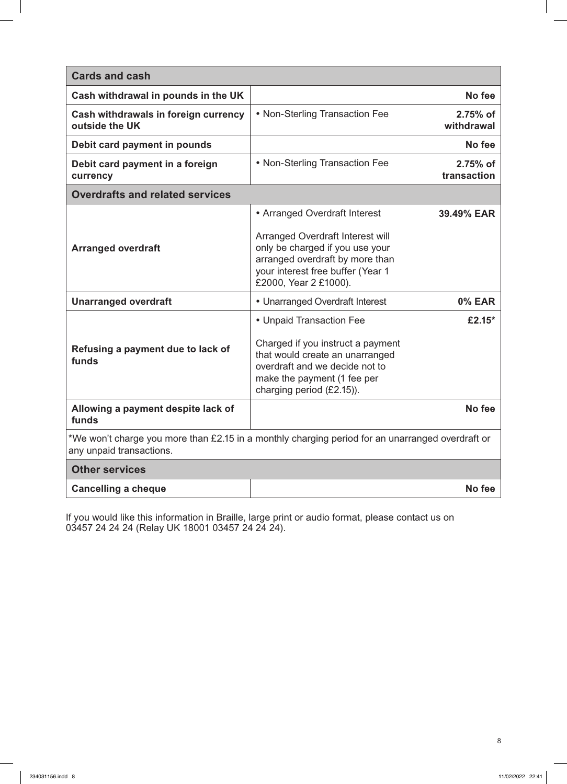| <b>Cards and cash</b>                                                                                                        |                                                                                                                                                                                                |                         |
|------------------------------------------------------------------------------------------------------------------------------|------------------------------------------------------------------------------------------------------------------------------------------------------------------------------------------------|-------------------------|
| Cash withdrawal in pounds in the UK                                                                                          |                                                                                                                                                                                                | No fee                  |
| Cash withdrawals in foreign currency<br>outside the UK                                                                       | • Non-Sterling Transaction Fee                                                                                                                                                                 | 2.75% of<br>withdrawal  |
| Debit card payment in pounds                                                                                                 |                                                                                                                                                                                                | No fee                  |
| Debit card payment in a foreign<br>currency                                                                                  | • Non-Sterling Transaction Fee                                                                                                                                                                 | 2.75% of<br>transaction |
| <b>Overdrafts and related services</b>                                                                                       |                                                                                                                                                                                                |                         |
|                                                                                                                              | • Arranged Overdraft Interest                                                                                                                                                                  | 39.49% EAR              |
| <b>Arranged overdraft</b>                                                                                                    | Arranged Overdraft Interest will<br>only be charged if you use your<br>arranged overdraft by more than<br>your interest free buffer (Year 1<br>£2000, Year 2 £1000).                           |                         |
| <b>Unarranged overdraft</b>                                                                                                  | • Unarranged Overdraft Interest                                                                                                                                                                | <b>0% EAR</b>           |
| Refusing a payment due to lack of<br>funds                                                                                   | • Unpaid Transaction Fee<br>Charged if you instruct a payment<br>that would create an unarranged<br>overdraft and we decide not to<br>make the payment (1 fee per<br>charging period (£2.15)). | £2.15*                  |
| Allowing a payment despite lack of<br>funds                                                                                  |                                                                                                                                                                                                | No fee                  |
| *We won't charge you more than £2.15 in a monthly charging period for an unarranged overdraft or<br>any unpaid transactions. |                                                                                                                                                                                                |                         |
| <b>Other services</b>                                                                                                        |                                                                                                                                                                                                |                         |
| <b>Cancelling a cheque</b>                                                                                                   |                                                                                                                                                                                                | No fee                  |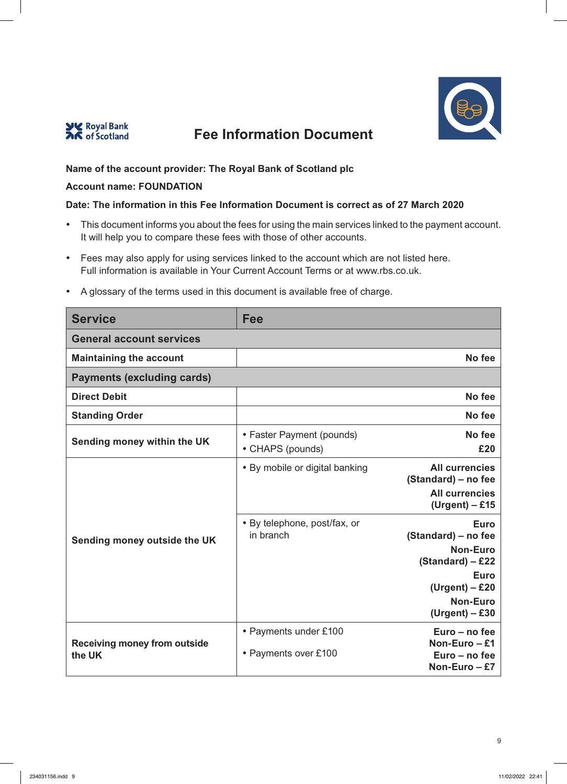



## **Name of the account provider: The Royal Bank of Scotland plc**

### **Account name: FOUNDATION**

## **Date: The information in this Fee Information Document is correct as of 27 March 2020**

- This document informs you about the fees for using the main services linked to the payment account. It will help you to compare these fees with those of other accounts.
- Fees may also apply for using services linked to the account which are not listed here. Full information is available in Your Current Account Terms or at www.rbs.co.uk.

| <b>Service</b>                                | <b>Fee</b>                                    |                                                                                                                                   |
|-----------------------------------------------|-----------------------------------------------|-----------------------------------------------------------------------------------------------------------------------------------|
| <b>General account services</b>               |                                               |                                                                                                                                   |
| <b>Maintaining the account</b>                |                                               | No fee                                                                                                                            |
| <b>Payments (excluding cards)</b>             |                                               |                                                                                                                                   |
| <b>Direct Debit</b>                           |                                               | No fee                                                                                                                            |
| <b>Standing Order</b>                         |                                               | No fee                                                                                                                            |
| Sending money within the UK                   | • Faster Payment (pounds)<br>• CHAPS (pounds) | No fee<br>£20                                                                                                                     |
|                                               | • By mobile or digital banking                | <b>All currencies</b><br>(Standard) – no fee<br><b>All currencies</b><br>$(Urgent) - £15$                                         |
| Sending money outside the UK                  | • By telephone, post/fax, or<br>in branch     | <b>Euro</b><br>(Standard) – no fee<br><b>Non-Euro</b><br>$(Standard) - £22$<br><b>Euro</b><br>$(Urgent) - £20$<br><b>Non-Euro</b> |
| <b>Receiving money from outside</b><br>the UK | • Payments under £100<br>• Payments over £100 | $(Urgent) - £30$<br>Euro - no fee<br>Non-Euro $-$ £1<br>Euro – no fee<br>Non-Euro $-E$ 7                                          |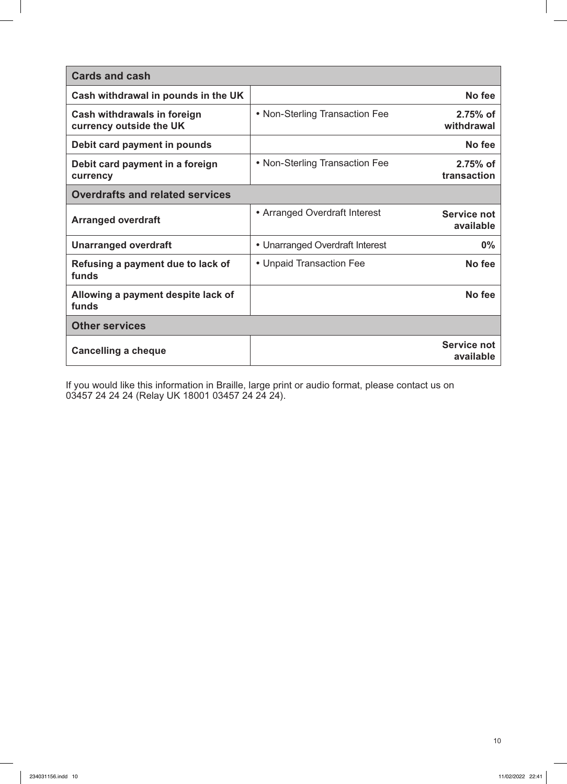| <b>Cards and cash</b>                                  |                                 |                           |
|--------------------------------------------------------|---------------------------------|---------------------------|
| Cash withdrawal in pounds in the UK                    |                                 | No fee                    |
| Cash withdrawals in foreign<br>currency outside the UK | • Non-Sterling Transaction Fee  | $2.75%$ of<br>withdrawal  |
| Debit card payment in pounds                           |                                 | No fee                    |
| Debit card payment in a foreign<br>currency            | • Non-Sterling Transaction Fee  | $2.75%$ of<br>transaction |
| <b>Overdrafts and related services</b>                 |                                 |                           |
| <b>Arranged overdraft</b>                              | • Arranged Overdraft Interest   | Service not<br>available  |
| <b>Unarranged overdraft</b>                            | • Unarranged Overdraft Interest | $0\%$                     |
| Refusing a payment due to lack of<br>funds             | • Unpaid Transaction Fee        | No fee                    |
| Allowing a payment despite lack of<br>funds            |                                 | No fee                    |
| <b>Other services</b>                                  |                                 |                           |
| <b>Cancelling a cheque</b>                             |                                 | Service not<br>available  |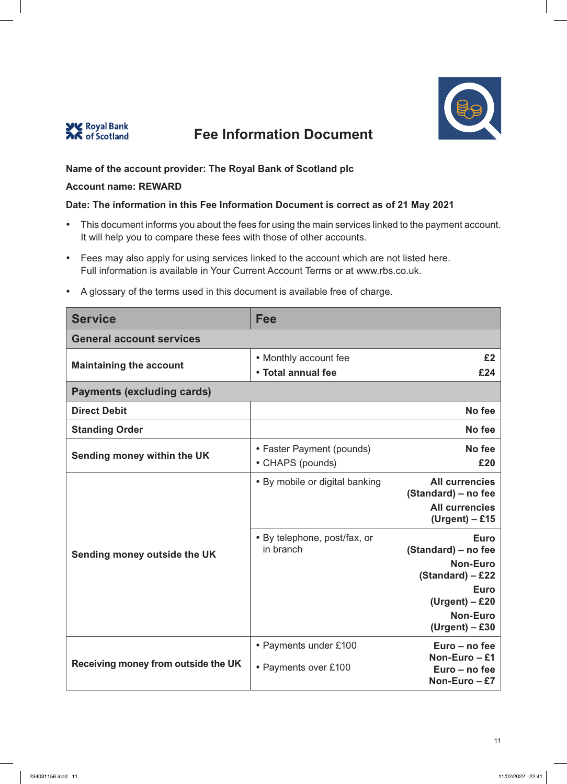



## **Name of the account provider: The Royal Bank of Scotland plc**

#### **Account name: REWARD**

### **Date: The information in this Fee Information Document is correct as of 21 May 2021**

- This document informs you about the fees for using the main services linked to the payment account. It will help you to compare these fees with those of other accounts.
- Fees may also apply for using services linked to the account which are not listed here. Full information is available in Your Current Account Terms or at www.rbs.co.uk.

| <b>Service</b>                      | Fee                                           |                                                                                                                                              |
|-------------------------------------|-----------------------------------------------|----------------------------------------------------------------------------------------------------------------------------------------------|
| <b>General account services</b>     |                                               |                                                                                                                                              |
| <b>Maintaining the account</b>      | • Monthly account fee<br>• Total annual fee   | £2<br>£24                                                                                                                                    |
| <b>Payments (excluding cards)</b>   |                                               |                                                                                                                                              |
| <b>Direct Debit</b>                 |                                               | No fee                                                                                                                                       |
| <b>Standing Order</b>               |                                               | No fee                                                                                                                                       |
| Sending money within the UK         | • Faster Payment (pounds)<br>• CHAPS (pounds) | No fee<br>£20                                                                                                                                |
|                                     | • By mobile or digital banking                | <b>All currencies</b><br>(Standard) – no fee<br><b>All currencies</b><br>$(Urgent) - £15$                                                    |
| Sending money outside the UK        | • By telephone, post/fax, or<br>in branch     | <b>Euro</b><br>(Standard) – no fee<br><b>Non-Euro</b><br>(Standard) - £22<br>Euro<br>$(Urgent) - £20$<br><b>Non-Euro</b><br>$(Urgent) - £30$ |
| Receiving money from outside the UK | • Payments under £100<br>• Payments over £100 | Euro - no fee<br>Non-Euro $-$ £1<br>Euro - no fee<br>Non-Euro - £7                                                                           |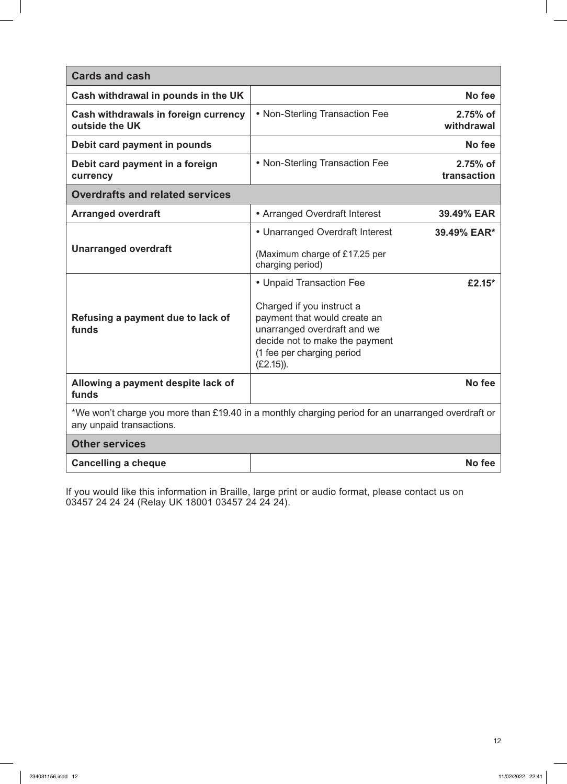| <b>Cards and cash</b>                                                                                                         |                                                                                                                                                                          |                         |
|-------------------------------------------------------------------------------------------------------------------------------|--------------------------------------------------------------------------------------------------------------------------------------------------------------------------|-------------------------|
| Cash withdrawal in pounds in the UK                                                                                           |                                                                                                                                                                          | No fee                  |
| Cash withdrawals in foreign currency<br>outside the UK                                                                        | • Non-Sterling Transaction Fee                                                                                                                                           | 2.75% of<br>withdrawal  |
| Debit card payment in pounds                                                                                                  |                                                                                                                                                                          | No fee                  |
| Debit card payment in a foreign<br>currency                                                                                   | • Non-Sterling Transaction Fee                                                                                                                                           | 2.75% of<br>transaction |
| <b>Overdrafts and related services</b>                                                                                        |                                                                                                                                                                          |                         |
| <b>Arranged overdraft</b>                                                                                                     | • Arranged Overdraft Interest                                                                                                                                            | 39.49% EAR              |
| <b>Unarranged overdraft</b>                                                                                                   | • Unarranged Overdraft Interest                                                                                                                                          | 39.49% EAR*             |
|                                                                                                                               | (Maximum charge of £17.25 per<br>charging period)                                                                                                                        |                         |
|                                                                                                                               | • Unpaid Transaction Fee                                                                                                                                                 | £2.15 $*$               |
| Refusing a payment due to lack of<br>funds                                                                                    | Charged if you instruct a<br>payment that would create an<br>unarranged overdraft and we<br>decide not to make the payment<br>(1 fee per charging period<br>$(E2.15)$ ). |                         |
| Allowing a payment despite lack of<br>funds                                                                                   |                                                                                                                                                                          | No fee                  |
| *We won't charge you more than £19.40 in a monthly charging period for an unarranged overdraft or<br>any unpaid transactions. |                                                                                                                                                                          |                         |
| <b>Other services</b>                                                                                                         |                                                                                                                                                                          |                         |
| <b>Cancelling a cheque</b>                                                                                                    |                                                                                                                                                                          | No fee                  |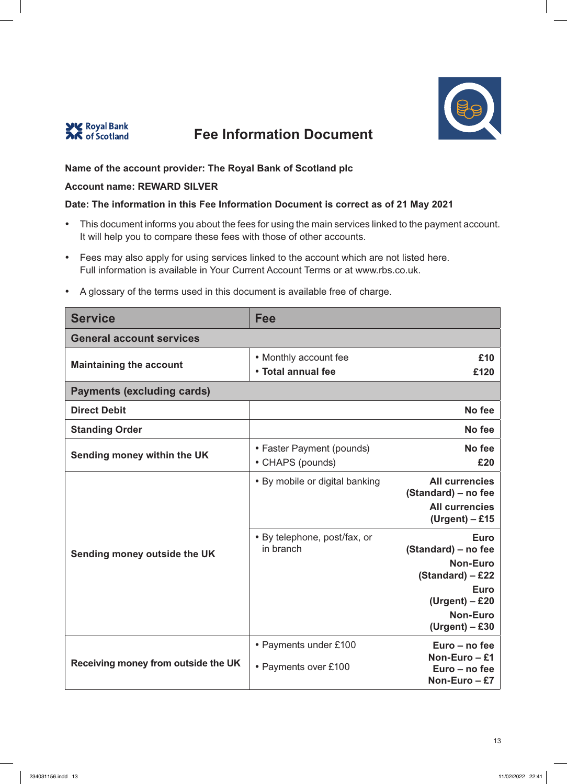



## **Name of the account provider: The Royal Bank of Scotland plc**

### **Account name: REWARD SILVER**

### **Date: The information in this Fee Information Document is correct as of 21 May 2021**

- This document informs you about the fees for using the main services linked to the payment account. It will help you to compare these fees with those of other accounts.
- Fees may also apply for using services linked to the account which are not listed here. Full information is available in Your Current Account Terms or at www.rbs.co.uk.

| <b>Service</b>                      | <b>Fee</b>                                    |                                                                                                                                                       |
|-------------------------------------|-----------------------------------------------|-------------------------------------------------------------------------------------------------------------------------------------------------------|
| <b>General account services</b>     |                                               |                                                                                                                                                       |
| <b>Maintaining the account</b>      | • Monthly account fee<br>• Total annual fee   | £10<br>£120                                                                                                                                           |
| <b>Payments (excluding cards)</b>   |                                               |                                                                                                                                                       |
| <b>Direct Debit</b>                 |                                               | No fee                                                                                                                                                |
| <b>Standing Order</b>               |                                               | No fee                                                                                                                                                |
| Sending money within the UK         | • Faster Payment (pounds)<br>• CHAPS (pounds) | No fee<br>£20                                                                                                                                         |
| Sending money outside the UK        | • By mobile or digital banking                | <b>All currencies</b><br>(Standard) - no fee<br><b>All currencies</b><br>$(Urgent) - £15$                                                             |
|                                     | • By telephone, post/fax, or<br>in branch     | <b>Euro</b><br>(Standard) - no fee<br><b>Non-Euro</b><br>$(Standard) - £22$<br><b>Euro</b><br>$(Urgent) - £20$<br><b>Non-Euro</b><br>$(Urgent) - £30$ |
| Receiving money from outside the UK | • Payments under £100<br>• Payments over £100 | Euro - no fee<br>Non-Euro $-$ £1<br>Euro - no fee<br>Non-Euro $-E$ 7                                                                                  |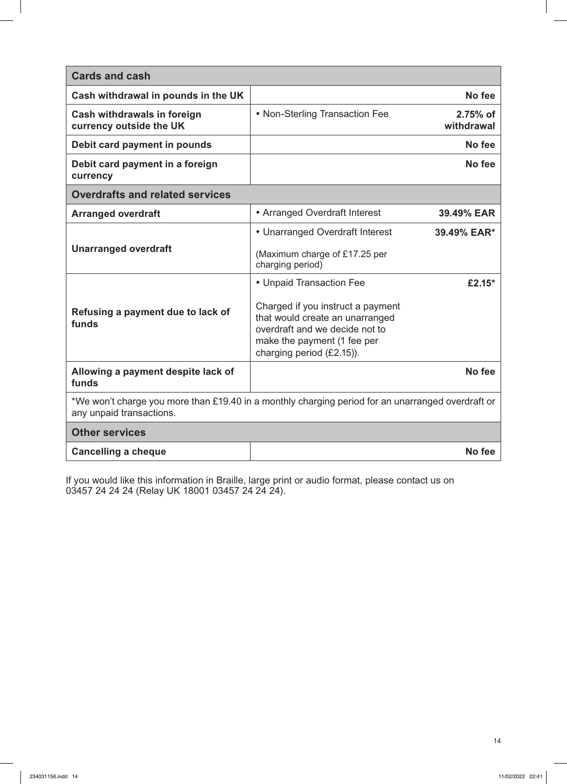| <b>Cards and cash</b>                                                                                                                                              |                          |  |
|--------------------------------------------------------------------------------------------------------------------------------------------------------------------|--------------------------|--|
|                                                                                                                                                                    | No fee                   |  |
| • Non-Sterling Transaction Fee                                                                                                                                     | $2.75%$ of<br>withdrawal |  |
|                                                                                                                                                                    | No fee                   |  |
|                                                                                                                                                                    | No fee                   |  |
| <b>Overdrafts and related services</b>                                                                                                                             |                          |  |
| • Arranged Overdraft Interest                                                                                                                                      | 39.49% EAR               |  |
| • Unarranged Overdraft Interest                                                                                                                                    | 39.49% EAR*              |  |
| (Maximum charge of £17.25 per<br>charging period)                                                                                                                  |                          |  |
| • Unpaid Transaction Fee                                                                                                                                           | £2.15 $*$                |  |
| Charged if you instruct a payment<br>that would create an unarranged<br>overdraft and we decide not to<br>make the payment (1 fee per<br>charging period (£2.15)). |                          |  |
|                                                                                                                                                                    | No fee                   |  |
| *We won't charge you more than £19.40 in a monthly charging period for an unarranged overdraft or<br>any unpaid transactions.                                      |                          |  |
| <b>Other services</b>                                                                                                                                              |                          |  |
|                                                                                                                                                                    | No fee                   |  |
|                                                                                                                                                                    |                          |  |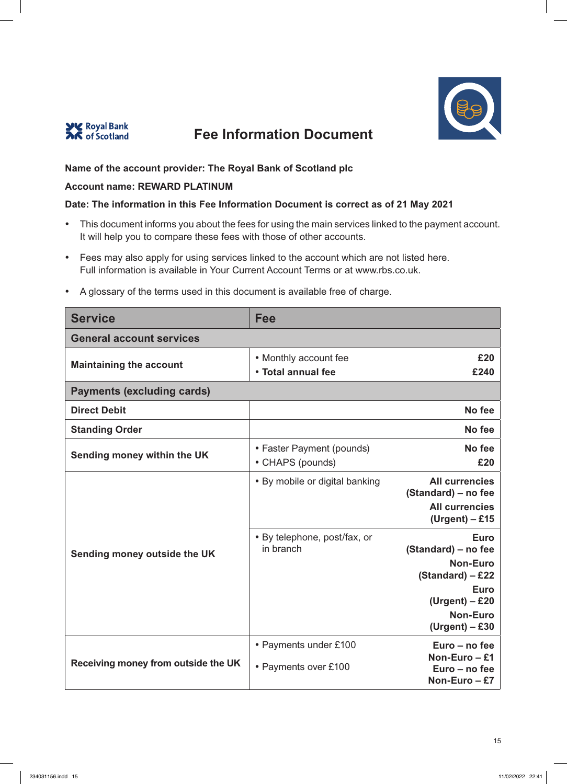



## **Name of the account provider: The Royal Bank of Scotland plc**

#### **Account name: REWARD PLATINUM**

#### **Date: The information in this Fee Information Document is correct as of 21 May 2021**

- This document informs you about the fees for using the main services linked to the payment account. It will help you to compare these fees with those of other accounts.
- Fees may also apply for using services linked to the account which are not listed here. Full information is available in Your Current Account Terms or at www.rbs.co.uk.

| <b>Service</b>                      | <b>Fee</b>                                    |                                                                                                                                                       |
|-------------------------------------|-----------------------------------------------|-------------------------------------------------------------------------------------------------------------------------------------------------------|
| <b>General account services</b>     |                                               |                                                                                                                                                       |
| <b>Maintaining the account</b>      | • Monthly account fee<br>• Total annual fee   | £20<br>£240                                                                                                                                           |
| <b>Payments (excluding cards)</b>   |                                               |                                                                                                                                                       |
| <b>Direct Debit</b>                 |                                               | No fee                                                                                                                                                |
| <b>Standing Order</b>               |                                               | No fee                                                                                                                                                |
| Sending money within the UK         | • Faster Payment (pounds)<br>• CHAPS (pounds) | No fee<br>£20                                                                                                                                         |
| Sending money outside the UK        | • By mobile or digital banking                | <b>All currencies</b><br>(Standard) - no fee<br><b>All currencies</b><br>$(Urgent) - £15$                                                             |
|                                     | • By telephone, post/fax, or<br>in branch     | <b>Euro</b><br>(Standard) - no fee<br><b>Non-Euro</b><br>$(Standard) - £22$<br><b>Euro</b><br>$(Urgent) - £20$<br><b>Non-Euro</b><br>$(Urgent) - £30$ |
| Receiving money from outside the UK | • Payments under £100<br>• Payments over £100 | Euro - no fee<br>Non-Euro $-$ £1<br>Euro - no fee<br>Non-Euro $-E$ 7                                                                                  |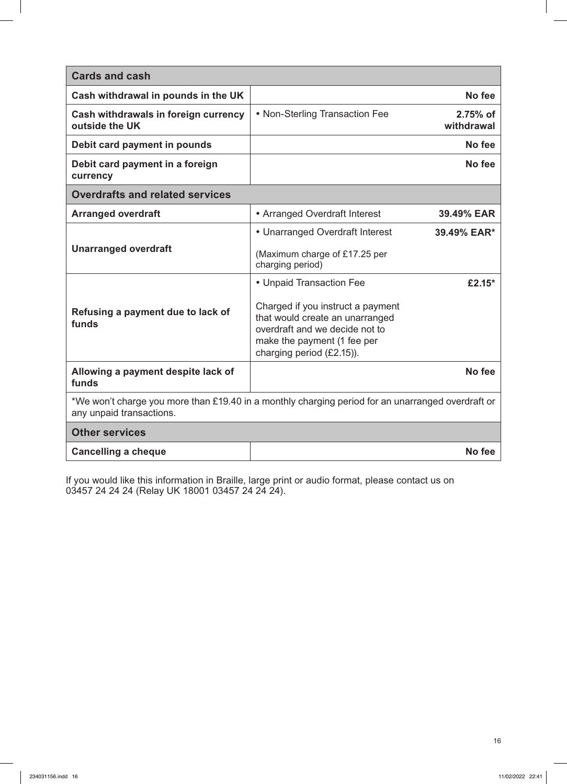| <b>Cards and cash</b>                                                                                                                                              |  |  |
|--------------------------------------------------------------------------------------------------------------------------------------------------------------------|--|--|
| No fee                                                                                                                                                             |  |  |
| • Non-Sterling Transaction Fee<br>2.75% of<br>withdrawal                                                                                                           |  |  |
| No fee                                                                                                                                                             |  |  |
| No fee                                                                                                                                                             |  |  |
| <b>Overdrafts and related services</b>                                                                                                                             |  |  |
| • Arranged Overdraft Interest<br>39.49% EAR                                                                                                                        |  |  |
| • Unarranged Overdraft Interest<br>39.49% EAR*                                                                                                                     |  |  |
| (Maximum charge of £17.25 per<br>charging period)                                                                                                                  |  |  |
| • Unpaid Transaction Fee<br>£2.15*                                                                                                                                 |  |  |
| Charged if you instruct a payment<br>that would create an unarranged<br>overdraft and we decide not to<br>make the payment (1 fee per<br>charging period (£2.15)). |  |  |
| No fee                                                                                                                                                             |  |  |
| *We won't charge you more than £19.40 in a monthly charging period for an unarranged overdraft or<br>any unpaid transactions.                                      |  |  |
| <b>Other services</b>                                                                                                                                              |  |  |
| No fee                                                                                                                                                             |  |  |
|                                                                                                                                                                    |  |  |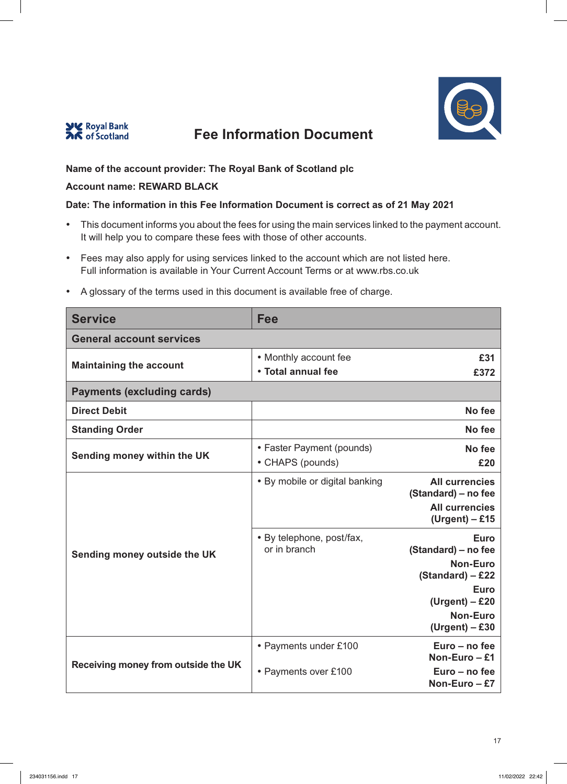



## **Name of the account provider: The Royal Bank of Scotland plc**

#### **Account name: REWARD BLACK**

### **Date: The information in this Fee Information Document is correct as of 21 May 2021**

- This document informs you about the fees for using the main services linked to the payment account. It will help you to compare these fees with those of other accounts.
- Fees may also apply for using services linked to the account which are not listed here. Full information is available in Your Current Account Terms or at www.rbs.co.uk

| <b>Service</b>                      | Fee                            |                                              |
|-------------------------------------|--------------------------------|----------------------------------------------|
| <b>General account services</b>     |                                |                                              |
| <b>Maintaining the account</b>      | • Monthly account fee          | £31                                          |
|                                     | • Total annual fee             | £372                                         |
| <b>Payments (excluding cards)</b>   |                                |                                              |
| <b>Direct Debit</b>                 |                                | No fee                                       |
| <b>Standing Order</b>               |                                | No fee                                       |
| Sending money within the UK         | • Faster Payment (pounds)      | No fee                                       |
|                                     | • CHAPS (pounds)               | £20                                          |
|                                     | • By mobile or digital banking | <b>All currencies</b>                        |
|                                     |                                | (Standard) – no fee<br><b>All currencies</b> |
|                                     |                                | $(Urgent) - £15$                             |
|                                     | • By telephone, post/fax,      | <b>Euro</b>                                  |
| Sending money outside the UK        | or in branch                   | (Standard) – no fee<br><b>Non-Euro</b>       |
|                                     |                                | (Standard) - £22                             |
|                                     |                                | <b>Euro</b>                                  |
|                                     |                                | $(Urgent) - £20$<br><b>Non-Euro</b>          |
|                                     |                                | $(Urgent) - £30$                             |
| Receiving money from outside the UK | • Payments under £100          | Euro - no fee                                |
|                                     |                                | Non-Euro - £1<br>Euro - no fee               |
|                                     | • Payments over £100           | Non-Euro - £7                                |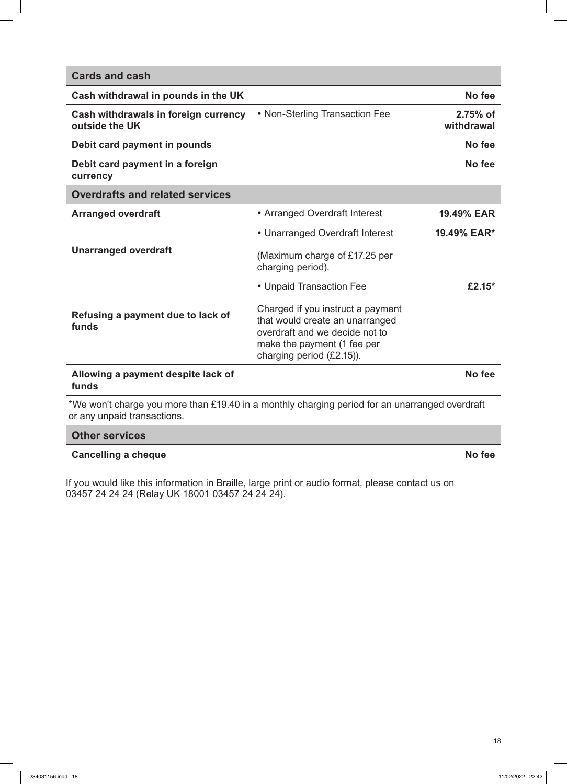| <b>Cards and cash</b>                                                                                                         |                                                                                                                                                                                                |                        |
|-------------------------------------------------------------------------------------------------------------------------------|------------------------------------------------------------------------------------------------------------------------------------------------------------------------------------------------|------------------------|
| Cash withdrawal in pounds in the UK                                                                                           |                                                                                                                                                                                                | No fee                 |
| Cash withdrawals in foreign currency<br>outside the UK                                                                        | • Non-Sterling Transaction Fee                                                                                                                                                                 | 2.75% of<br>withdrawal |
| Debit card payment in pounds                                                                                                  |                                                                                                                                                                                                | No fee                 |
| Debit card payment in a foreign<br>currency                                                                                   |                                                                                                                                                                                                | No fee                 |
| <b>Overdrafts and related services</b>                                                                                        |                                                                                                                                                                                                |                        |
| <b>Arranged overdraft</b>                                                                                                     | • Arranged Overdraft Interest                                                                                                                                                                  | 19.49% EAR             |
| <b>Unarranged overdraft</b>                                                                                                   | • Unarranged Overdraft Interest<br>(Maximum charge of £17.25 per<br>charging period).                                                                                                          | 19.49% EAR*            |
| Refusing a payment due to lack of<br>funds                                                                                    | • Unpaid Transaction Fee<br>Charged if you instruct a payment<br>that would create an unarranged<br>overdraft and we decide not to<br>make the payment (1 fee per<br>charging period (£2.15)). | £2.15 $*$              |
| Allowing a payment despite lack of<br>funds                                                                                   |                                                                                                                                                                                                | No fee                 |
| *We won't charge you more than £19.40 in a monthly charging period for an unarranged overdraft<br>or any unpaid transactions. |                                                                                                                                                                                                |                        |
| <b>Other services</b>                                                                                                         |                                                                                                                                                                                                |                        |
| <b>Cancelling a cheque</b>                                                                                                    |                                                                                                                                                                                                | No fee                 |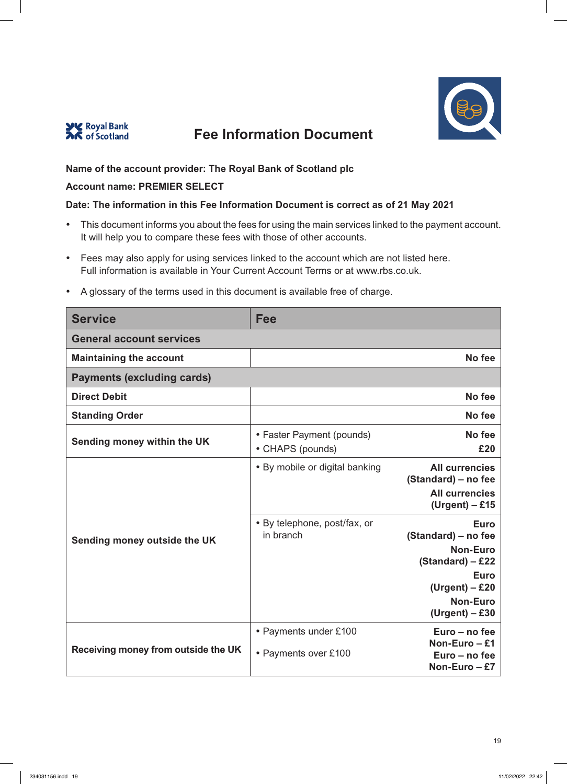



## **Name of the account provider: The Royal Bank of Scotland plc**

### **Account name: PREMIER SELECT**

#### **Date: The information in this Fee Information Document is correct as of 21 May 2021**

- This document informs you about the fees for using the main services linked to the payment account. It will help you to compare these fees with those of other accounts.
- Fees may also apply for using services linked to the account which are not listed here. Full information is available in Your Current Account Terms or at www.rbs.co.uk.

| <b>Service</b>                      | Fee                                           |                                                                                                                                                       |
|-------------------------------------|-----------------------------------------------|-------------------------------------------------------------------------------------------------------------------------------------------------------|
| <b>General account services</b>     |                                               |                                                                                                                                                       |
| <b>Maintaining the account</b>      |                                               | No fee                                                                                                                                                |
| <b>Payments (excluding cards)</b>   |                                               |                                                                                                                                                       |
| <b>Direct Debit</b>                 |                                               | No fee                                                                                                                                                |
| <b>Standing Order</b>               |                                               | No fee                                                                                                                                                |
| Sending money within the UK         | • Faster Payment (pounds)<br>• CHAPS (pounds) | No fee<br>£20                                                                                                                                         |
| Sending money outside the UK        | • By mobile or digital banking                | <b>All currencies</b><br>(Standard) - no fee<br><b>All currencies</b><br>$(Urgent) - £15$                                                             |
|                                     | • By telephone, post/fax, or<br>in branch     | <b>Euro</b><br>(Standard) – no fee<br><b>Non-Euro</b><br>$(Standard) - £22$<br><b>Euro</b><br>$(Urgent) - £20$<br><b>Non-Euro</b><br>$(Urgent) - £30$ |
| Receiving money from outside the UK | • Payments under £100<br>• Payments over £100 | Euro – no fee<br>Non-Euro $-$ £1<br>Euro - no fee<br>Non-Euro-£7                                                                                      |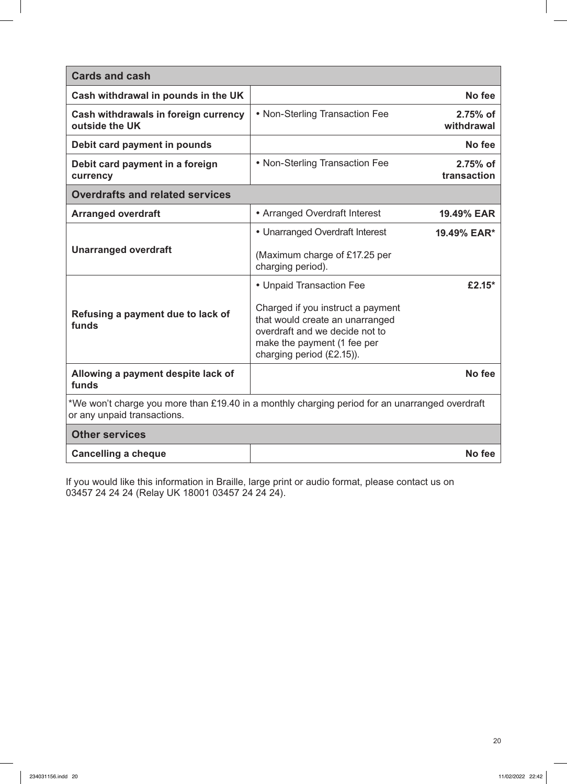| <b>Cards and cash</b>                                                                                                         |                                                                                                                                                                    |                         |
|-------------------------------------------------------------------------------------------------------------------------------|--------------------------------------------------------------------------------------------------------------------------------------------------------------------|-------------------------|
| Cash withdrawal in pounds in the UK                                                                                           |                                                                                                                                                                    | No fee                  |
| Cash withdrawals in foreign currency<br>outside the UK                                                                        | • Non-Sterling Transaction Fee                                                                                                                                     | 2.75% of<br>withdrawal  |
| Debit card payment in pounds                                                                                                  |                                                                                                                                                                    | No fee                  |
| Debit card payment in a foreign<br>currency                                                                                   | • Non-Sterling Transaction Fee                                                                                                                                     | 2.75% of<br>transaction |
| <b>Overdrafts and related services</b>                                                                                        |                                                                                                                                                                    |                         |
| <b>Arranged overdraft</b>                                                                                                     | • Arranged Overdraft Interest                                                                                                                                      | 19.49% EAR              |
| <b>Unarranged overdraft</b>                                                                                                   | • Unarranged Overdraft Interest                                                                                                                                    | 19.49% EAR*             |
|                                                                                                                               | (Maximum charge of £17.25 per<br>charging period).                                                                                                                 |                         |
|                                                                                                                               | • Unpaid Transaction Fee                                                                                                                                           | £2.15 $*$               |
| Refusing a payment due to lack of<br>funds                                                                                    | Charged if you instruct a payment<br>that would create an unarranged<br>overdraft and we decide not to<br>make the payment (1 fee per<br>charging period (£2.15)). |                         |
| Allowing a payment despite lack of<br>funds                                                                                   |                                                                                                                                                                    | No fee                  |
| *We won't charge you more than £19.40 in a monthly charging period for an unarranged overdraft<br>or any unpaid transactions. |                                                                                                                                                                    |                         |
| <b>Other services</b>                                                                                                         |                                                                                                                                                                    |                         |
| <b>Cancelling a cheque</b>                                                                                                    |                                                                                                                                                                    | No fee                  |